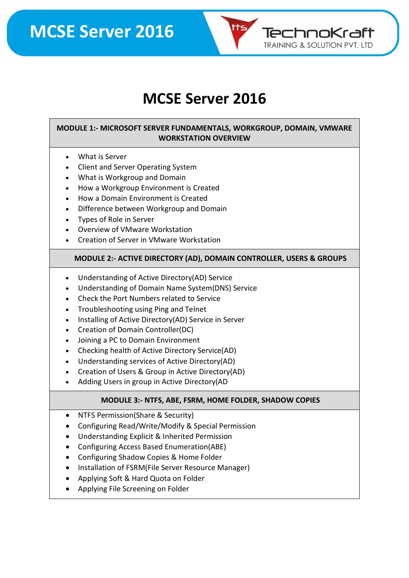

### **MCSE Server 2016**

#### **MODULE 1:- MICROSOFT SERVER FUNDAMENTALS, WORKGROUP, DOMAIN, VMWARE WORKSTATION OVERVIEW**

- What is Server
- Client and Server Operating System
- What is Workgroup and Domain
- How a Workgroup Environment is Created
- How a Domain Environment is Created
- Difference between Workgroup and Domain
- Types of Role in Server
- Overview of VMware Workstation
- Creation of Server in VMware Workstation

#### **MODULE 2:- ACTIVE DIRECTORY (AD), DOMAIN CONTROLLER, USERS & GROUPS**

- Understanding of Active Directory(AD) Service
- Understanding of Domain Name System(DNS) Service
- Check the Port Numbers related to Service
- Troubleshooting using Ping and Telnet
- Installing of Active Directory(AD) Service in Server
- Creation of Domain Controller(DC)
- Joining a PC to Domain Environment
- Checking health of Active Directory Service(AD)
- Understanding services of Active Directory(AD)
- Creation of Users & Group in Active Directory(AD)
- Adding Users in group in Active Directory(AD

#### **MODULE 3:- NTFS, ABE, FSRM, HOME FOLDER, SHADOW COPIES**

- NTFS Permission(Share & Security)
- Configuring Read/Write/Modify & Special Permission
- Understanding Explicit & Inherited Permission
- Configuring Access Based Enumeration(ABE)
- Configuring Shadow Copies & Home Folder
- Installation of FSRM(File Server Resource Manager)
- Applying Soft & Hard Quota on Folder
- Applying File Screening on Folder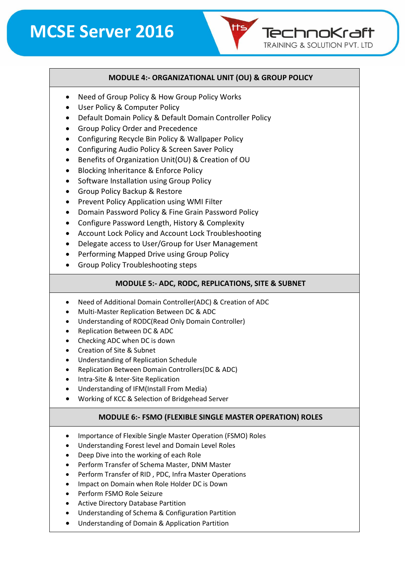#### **MODULE 4:- ORGANIZATIONAL UNIT (OU) & GROUP POLICY**

TechnoKraft **TRAINING & SOLUTION PVT. LTD** 

- Need of Group Policy & How Group Policy Works
- User Policy & Computer Policy
- Default Domain Policy & Default Domain Controller Policy
- Group Policy Order and Precedence
- Configuring Recycle Bin Policy & Wallpaper Policy
- Configuring Audio Policy & Screen Saver Policy
- Benefits of Organization Unit(OU) & Creation of OU
- Blocking Inheritance & Enforce Policy
- Software Installation using Group Policy
- Group Policy Backup & Restore
- Prevent Policy Application using WMI Filter
- Domain Password Policy & Fine Grain Password Policy
- Configure Password Length, History & Complexity
- Account Lock Policy and Account Lock Troubleshooting
- Delegate access to User/Group for User Management
- Performing Mapped Drive using Group Policy
- Group Policy Troubleshooting steps

#### **MODULE 5:- ADC, RODC, REPLICATIONS, SITE & SUBNET**

- Need of Additional Domain Controller(ADC) & Creation of ADC
- Multi-Master Replication Between DC & ADC
- Understanding of RODC(Read Only Domain Controller)
- Replication Between DC & ADC
- Checking ADC when DC is down
- Creation of Site & Subnet
- Understanding of Replication Schedule
- Replication Between Domain Controllers(DC & ADC)
- Intra-Site & Inter-Site Replication
- Understanding of IFM(Install From Media)
- Working of KCC & Selection of Bridgehead Server

#### **MODULE 6:- FSMO (FLEXIBLE SINGLE MASTER OPERATION) ROLES**

- Importance of Flexible Single Master Operation (FSMO) Roles
- Understanding Forest level and Domain Level Roles
- Deep Dive into the working of each Role
- Perform Transfer of Schema Master, DNM Master
- Perform Transfer of RID , PDC, Infra Master Operations
- Impact on Domain when Role Holder DC is Down
- Perform FSMO Role Seizure
- Active Directory Database Partition
- Understanding of Schema & Configuration Partition
- Understanding of Domain & Application Partition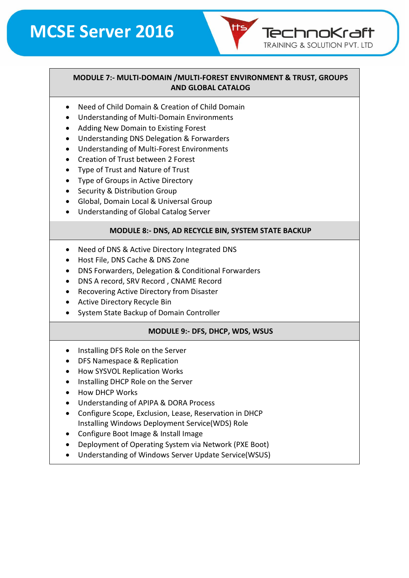# **MCSE Server 2016**

TechnoKraft **TRAINING & SOLUTION PVT. LTD** 

#### **MODULE 7:- MULTI-DOMAIN /MULTI-FOREST ENVIRONMENT & TRUST, GROUPS AND GLOBAL CATALOG**

- Need of Child Domain & Creation of Child Domain
- Understanding of Multi-Domain Environments
- Adding New Domain to Existing Forest
- Understanding DNS Delegation & Forwarders
- Understanding of Multi-Forest Environments
- Creation of Trust between 2 Forest
- Type of Trust and Nature of Trust
- Type of Groups in Active Directory
- Security & Distribution Group
- Global, Domain Local & Universal Group
- Understanding of Global Catalog Server

#### **MODULE 8:- DNS, AD RECYCLE BIN, SYSTEM STATE BACKUP**

- Need of DNS & Active Directory Integrated DNS
- Host File, DNS Cache & DNS Zone
- DNS Forwarders, Delegation & Conditional Forwarders
- DNS A record, SRV Record , CNAME Record
- Recovering Active Directory from Disaster
- Active Directory Recycle Bin
- System State Backup of Domain Controller

#### **MODULE 9:- DFS, DHCP, WDS, WSUS**

- Installing DFS Role on the Server
- DFS Namespace & Replication
- How SYSVOL Replication Works
- Installing DHCP Role on the Server
- How DHCP Works
- Understanding of APIPA & DORA Process
- Configure Scope, Exclusion, Lease, Reservation in DHCP Installing Windows Deployment Service(WDS) Role
- Configure Boot Image & Install Image
- Deployment of Operating System via Network (PXE Boot)
- Understanding of Windows Server Update Service(WSUS)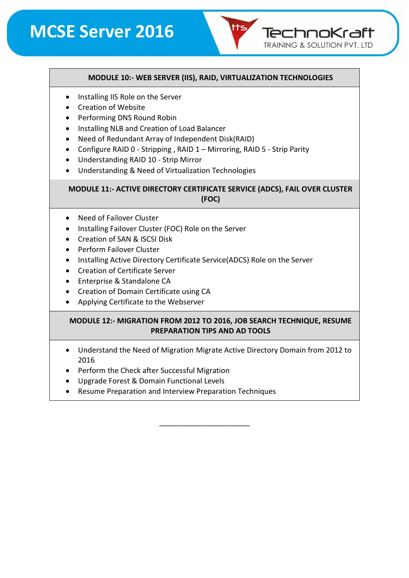# **MCSE Server 2016**

#### **MODULE 10:- WEB SERVER (IIS), RAID, VIRTUALIZATION TECHNOLOGIES**

TechnoKraft **TRAINING & SOLUTION PVT. LTD** 

- Installing IIS Role on the Server
- Creation of Website
- Performing DNS Round Robin
- Installing NLB and Creation of Load Balancer
- Need of Redundant Array of Independent Disk(RAID)
- Configure RAID 0 Stripping, RAID 1 Mirroring, RAID 5 Strip Parity
- Understanding RAID 10 Strip Mirror
- Understanding & Need of Virtualization Technologies

#### **MODULE 11:- ACTIVE DIRECTORY CERTIFICATE SERVICE (ADCS), FAIL OVER CLUSTER (FOC)**

- Need of Failover Cluster
- Installing Failover Cluster (FOC) Role on the Server
- Creation of SAN & ISCSI Disk
- Perform Failover Cluster
- Installing Active Directory Certificate Service(ADCS) Role on the Server
- Creation of Certificate Server
- Enterprise & Standalone CA
- Creation of Domain Certificate using CA
- Applying Certificate to the Webserver

#### **MODULE 12:- MIGRATION FROM 2012 TO 2016, JOB SEARCH TECHNIQUE, RESUME PREPARATION TIPS AND AD TOOLS**

• Understand the Need of Migration Migrate Active Directory Domain from 2012 to 2016

\_\_\_\_\_\_\_\_\_\_\_\_\_\_\_\_\_\_\_\_\_\_

- Perform the Check after Successful Migration
- Upgrade Forest & Domain Functional Levels
- Resume Preparation and Interview Preparation Techniques